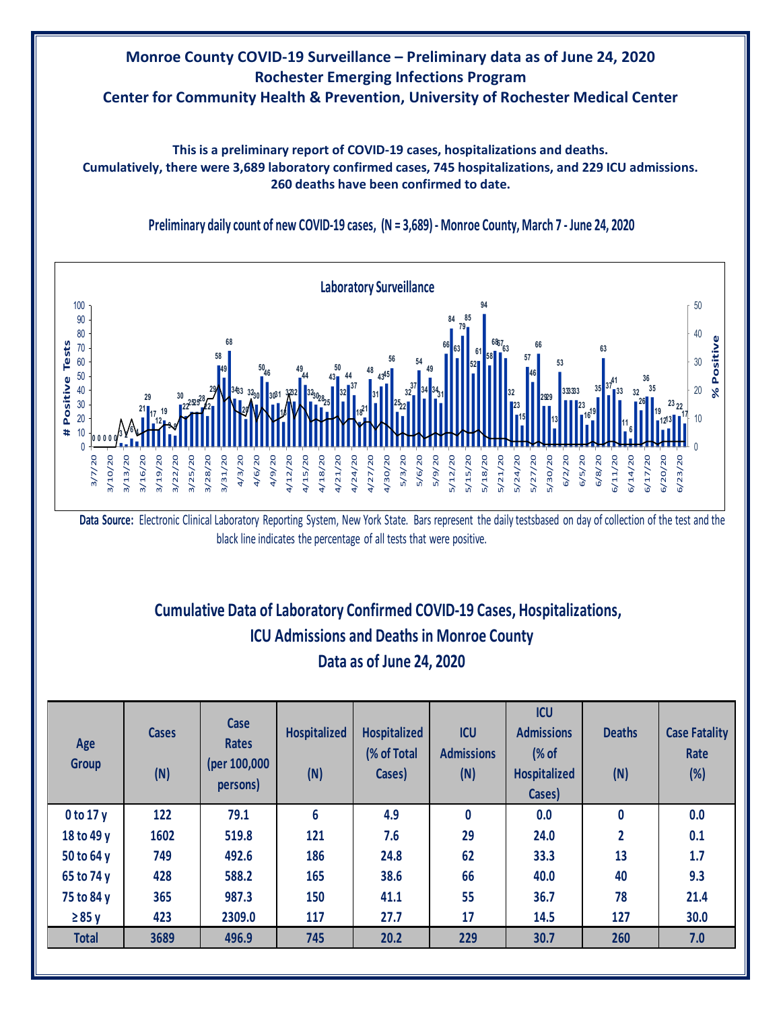### **Monroe County COVID-19 Surveillance – Preliminary data as of June 24, 2020 Rochester Emerging Infections Program Center for Community Health & Prevention, University of Rochester Medical Center**

**This is a preliminary report of COVID-19 cases, hospitalizations and deaths. Cumulatively, there were 3,689 laboratory confirmed cases, 745 hospitalizations, and 229 ICU admissions. 260 deaths have been confirmed to date.**



**Preliminary daily count of new COVID-19 cases, (N = 3,689) - Monroe County, March 7 - June 24, 2020**

**Data Source:** Electronic Clinical Laboratory Reporting System, New York State. Bars represent the daily testsbased on day of collection of the test and the black line indicates the percentage of all tests that were positive.

# **Cumulative Data of Laboratory Confirmed COVID-19 Cases, Hospitalizations, Data as of June 24, 2020 ICU Admissions and Deaths in Monroe County**

| Age<br><b>Group</b> | <b>Cases</b><br>(N) | Case<br><b>Rates</b><br>(per 100,000<br>persons) | <b>Hospitalized</b><br>(N) | <b>Hospitalized</b><br>(% of Total<br>Cases) | <b>ICU</b><br><b>Admissions</b><br>(N) | <b>ICU</b><br><b>Admissions</b><br>(% of<br><b>Hospitalized</b><br>Cases) | <b>Deaths</b><br>(N) | <b>Case Fatality</b><br>Rate<br>$(\%)$ |
|---------------------|---------------------|--------------------------------------------------|----------------------------|----------------------------------------------|----------------------------------------|---------------------------------------------------------------------------|----------------------|----------------------------------------|
| $0$ to 17 $y$       | 122                 | 79.1                                             | 6                          | 4.9                                          | $\mathbf{0}$                           | 0.0                                                                       | $\bf{0}$             | 0.0                                    |
| 18 to 49 y          | 1602                | 519.8                                            | 121                        | 7.6                                          | 29                                     | 24.0                                                                      | 2                    | 0.1                                    |
| 50 to 64 y          | 749                 | 492.6                                            | 186                        | 24.8                                         | 62                                     | 33.3                                                                      | 13                   | 1.7                                    |
| 65 to 74 y          | 428                 | 588.2                                            | 165                        | 38.6                                         | 66                                     | 40.0                                                                      | 40                   | 9.3                                    |
| 75 to 84 y          | 365                 | 987.3                                            | 150                        | 41.1                                         | 55                                     | 36.7                                                                      | 78                   | 21.4                                   |
| $\geq 85$ y         | 423                 | 2309.0                                           | 117                        | 27.7                                         | 17                                     | 14.5                                                                      | 127                  | 30.0                                   |
| <b>Total</b>        | 3689                | 496.9                                            | 745                        | 20.2                                         | 229                                    | 30.7                                                                      | 260                  | 7.0                                    |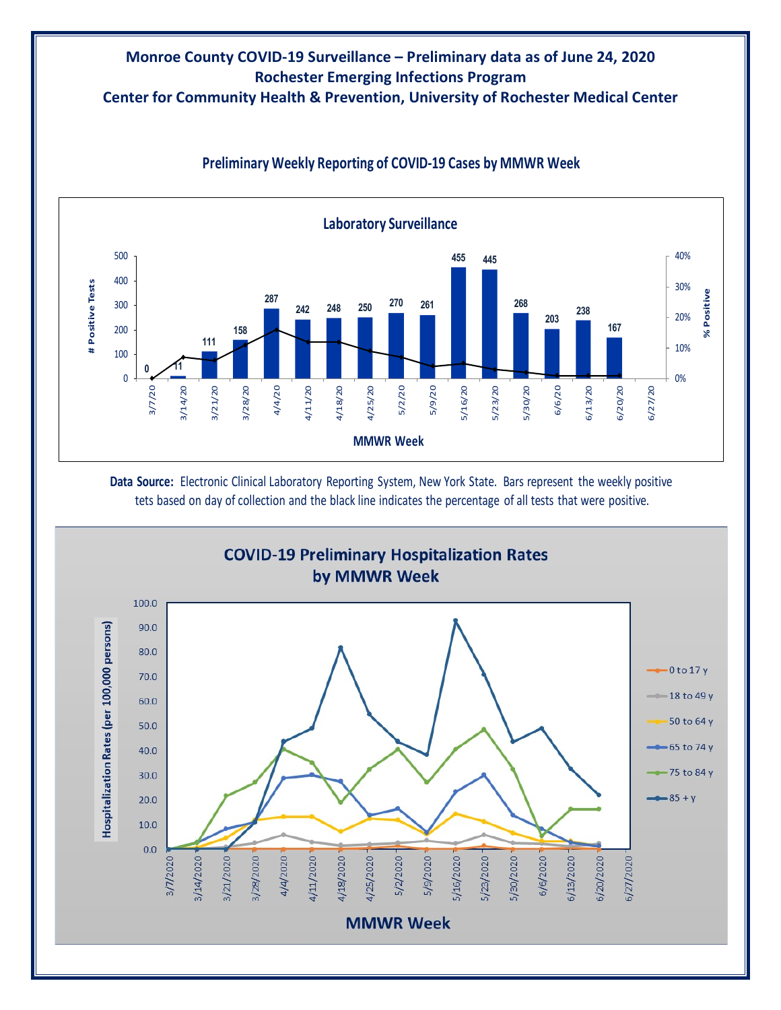# **Monroe County COVID-19 Surveillance – Preliminary data as of June 24, 2020 Rochester Emerging Infections Program**

**Center for Community Health & Prevention, University of Rochester Medical Center**



### **Preliminary Weekly Reporting of COVID-19 Cases by MMWR Week**

**Data Source:** Electronic Clinical Laboratory Reporting System, New York State. Bars represent the weekly positive tets based on day of collection and the black line indicates the percentage of all tests that were positive.